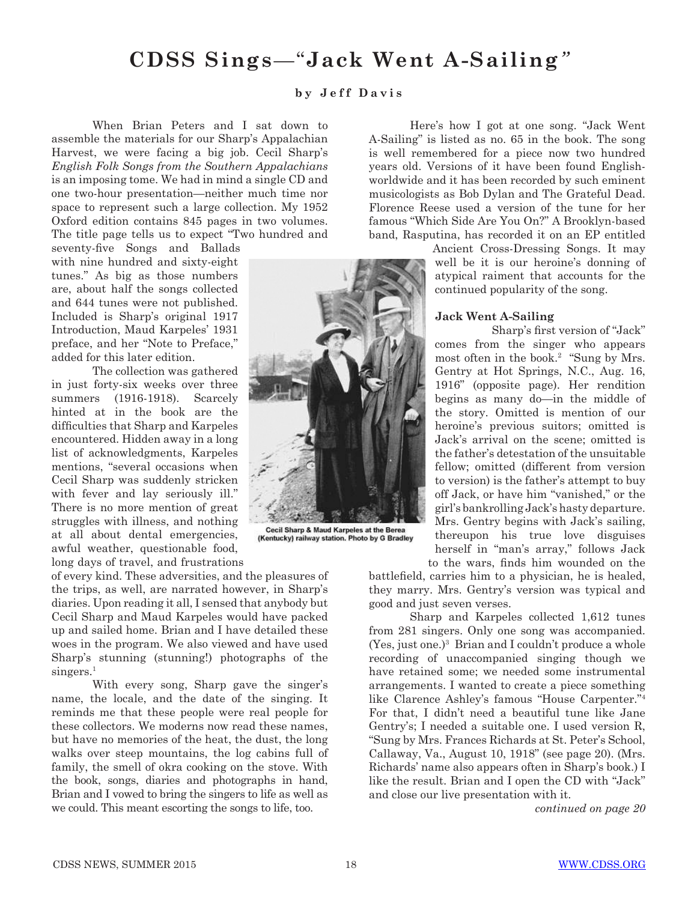# **CDSS Sings***—*"**Jack Went A-Sailing***"*

### **b y J e f f D a v i s**

When Brian Peters and I sat down to assemble the materials for our Sharp's Appalachian Harvest, we were facing a big job. Cecil Sharp's *English Folk Songs from the Southern Appalachians*  is an imposing tome. We had in mind a single CD and one two-hour presentation—neither much time nor space to represent such a large collection. My 1952 Oxford edition contains 845 pages in two volumes. The title page tells us to expect "Two hundred and

seventy-five Songs and Ballads with nine hundred and sixty-eight tunes." As big as those numbers are, about half the songs collected and 644 tunes were not published. Included is Sharp's original 1917 Introduction, Maud Karpeles' 1931 preface, and her "Note to Preface," added for this later edition.

The collection was gathered in just forty-six weeks over three summers (1916-1918). Scarcely hinted at in the book are the difficulties that Sharp and Karpeles encountered. Hidden away in a long list of acknowledgments, Karpeles mentions, "several occasions when Cecil Sharp was suddenly stricken with fever and lay seriously ill." There is no more mention of great struggles with illness, and nothing at all about dental emergencies, awful weather, questionable food, long days of travel, and frustrations

of every kind. These adversities, and the pleasures of the trips, as well, are narrated however, in Sharp's diaries. Upon reading it all, I sensed that anybody but Cecil Sharp and Maud Karpeles would have packed up and sailed home. Brian and I have detailed these woes in the program. We also viewed and have used Sharp's stunning (stunning!) photographs of the singers.<sup>1</sup>

With every song, Sharp gave the singer's name, the locale, and the date of the singing. It reminds me that these people were real people for these collectors. We moderns now read these names, but have no memories of the heat, the dust, the long walks over steep mountains, the log cabins full of family, the smell of okra cooking on the stove. With the book, songs, diaries and photographs in hand, Brian and I vowed to bring the singers to life as well as we could. This meant escorting the songs to life, too.

Here's how I got at one song. "Jack Went A-Sailing" is listed as no. 65 in the book. The song is well remembered for a piece now two hundred years old. Versions of it have been found Englishworldwide and it has been recorded by such eminent musicologists as Bob Dylan and The Grateful Dead. Florence Reese used a version of the tune for her famous "Which Side Are You On?" A Brooklyn-based band, Rasputina, has recorded it on an EP entitled

> Ancient Cross-Dressing Songs. It may well be it is our heroine's donning of atypical raiment that accounts for the continued popularity of the song.

#### **Jack Went A-Sailing**

Sharp's first version of "Jack" comes from the singer who appears most often in the book.<sup>2</sup> "Sung by Mrs. Gentry at Hot Springs, N.C., Aug. 16, 1916" (opposite page). Her rendition begins as many do—in the middle of the story. Omitted is mention of our heroine's previous suitors; omitted is Jack's arrival on the scene; omitted is the father's detestation of the unsuitable fellow; omitted (different from version to version) is the father's attempt to buy off Jack, or have him "vanished," or the girl's bankrolling Jack's hasty departure. Mrs. Gentry begins with Jack's sailing, thereupon his true love disguises herself in "man's array," follows Jack to the wars, finds him wounded on the

battlefield, carries him to a physician, he is healed, they marry. Mrs. Gentry's version was typical and good and just seven verses.

Sharp and Karpeles collected 1,612 tunes from 281 singers. Only one song was accompanied. (Yes, just one.)3 Brian and I couldn't produce a whole recording of unaccompanied singing though we have retained some; we needed some instrumental arrangements. I wanted to create a piece something like Clarence Ashley's famous "House Carpenter."4 For that, I didn't need a beautiful tune like Jane Gentry's; I needed a suitable one. I used version R, "Sung by Mrs. Frances Richards at St. Peter's School, Callaway, Va., August 10, 1918" (see page 20). (Mrs. Richards' name also appears often in Sharp's book.) I like the result. Brian and I open the CD with "Jack" and close our live presentation with it.

*continued on page 20*



(Kentucky) railway station. Photo by G Bradley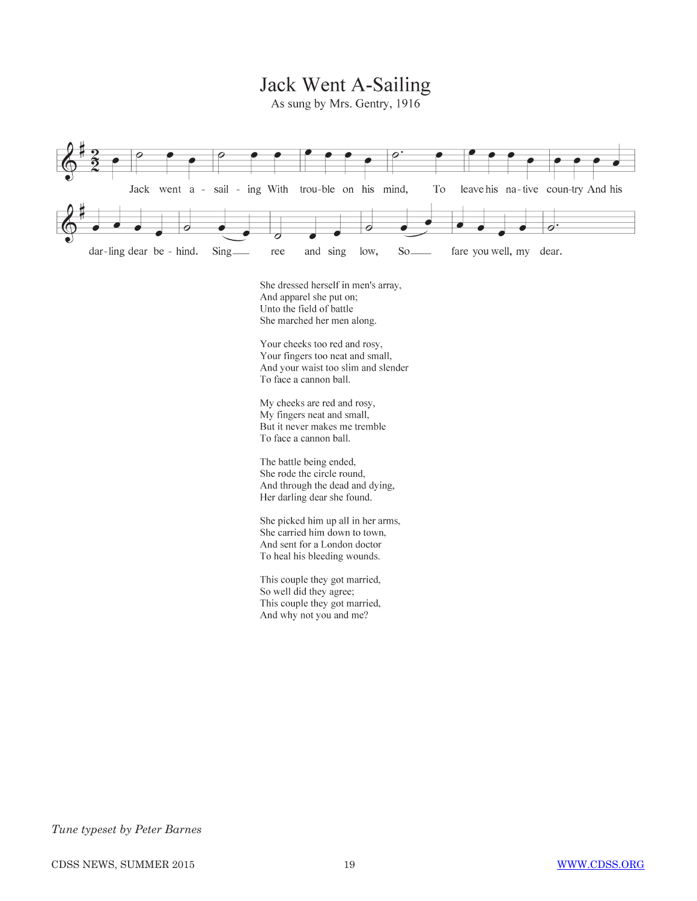Jack Went A-Sailing

As sung by Mrs. Gentry, 1916



My cheeks are red and rosy, My fingers neat and small, But it never makes me tremble To face a cannon ball.

The battle being ended, She rode the circle round, And through the dead and dying, Her darling dear she found.

She picked him up all in her arms, She carried him down to town, And sent for a London doctor To heal his bleeding wounds.

This couple they got married, So well did they agree; This couple they got married, And why not you and me?

## *Tune typeset by Peter Barnes*